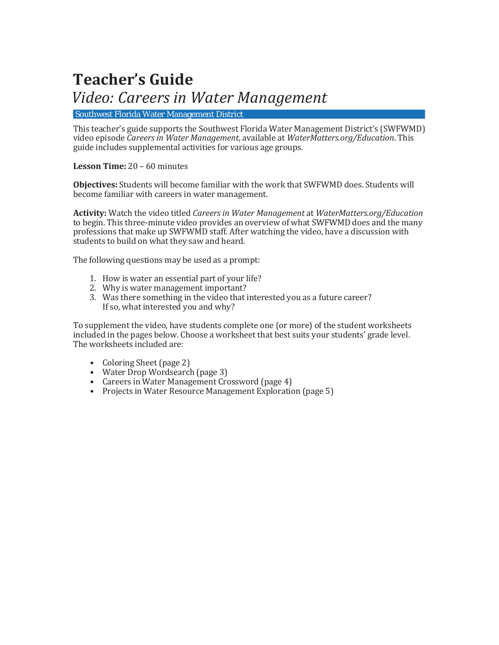### **Teacher's Guide**

### *Video: Careers in Water Management*

Southwest Florida Water Management District

This teacher's guide supports the Southwest Florida Water Management District's (SWFWMD) video episode *Careers in Water Management*, available at *WaterMatters.org/Education*. This guide includes supplemental activities for various age groups.

**Lesson Time:** 20 – 60 minutes

**Objectives:** Students will become familiar with the work that SWFWMD does. Students will become familiar with careers in water management.

**Activity:** Watch the video titled *Careers in Water Management* at *WaterMatters.org/Education* to begin. This three-minute video provides an overview of what SWFWMD does and the many professions that make up SWFWMD staff. After watching the video, have a discussion with students to build on what they saw and heard.

The following questions may be used as a prompt:

- 1. How is water an essential part of your life?
- 2. Why is water management important?
- 3. Was there something in the video that interested you as a future career? If so, what interested you and why?

To supplement the video, have students complete one (or more) of the student worksheets included in the pages below. Choose a worksheet that best suits your students' grade level. The worksheets included are:

- Coloring Sheet (page 2)
- Water Drop Wordsearch (page 3)
- Careers in Water Management Crossword (page 4)
- Projects in Water Resource Management Exploration (page 5)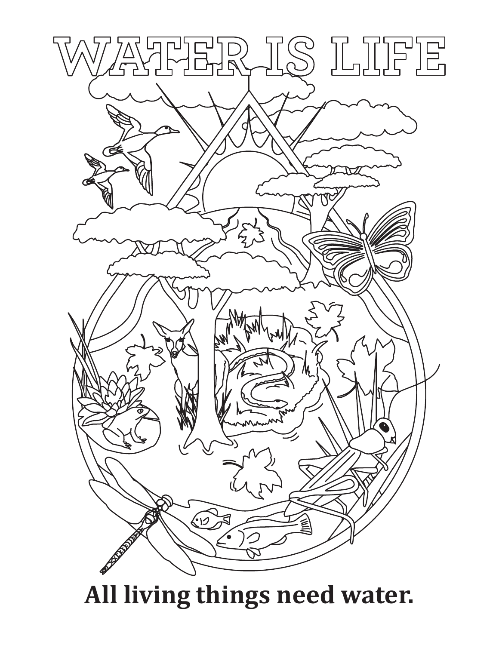

# **All living things need water.**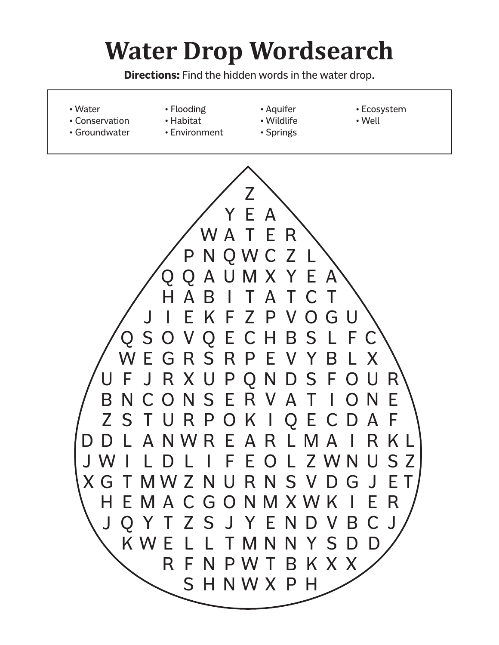# **Water Drop Wordsearch**

**Directions:** Find the hidden words in the water drop.

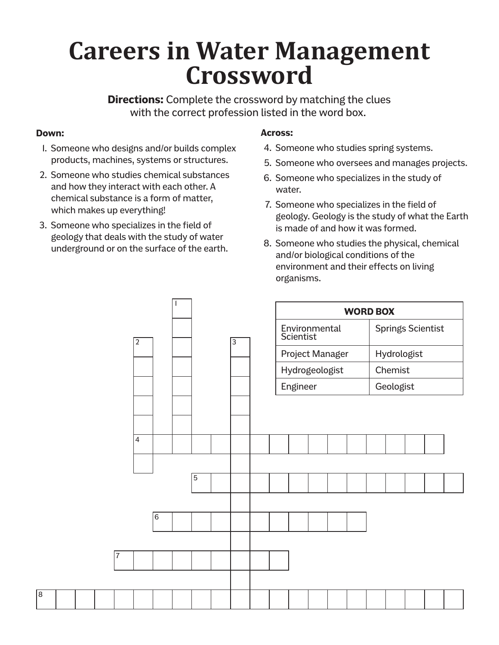## **Careers in Water Management Crossword**

**Directions:** Complete the crossword by matching the clues with the correct profession listed in the word box.

#### **Down:**

8

- 1. Someone who designs and/or builds complex products, machines, systems or structures.
- 2. Someone who studies chemical substances and how they interact with each other. A chemical substance is a form of matter, which makes up everything!
- 3. Someone who specializes in the field of geology that deals with the study of water underground or on the surface of the earth.

#### **Across:**

- 4. Someone who studies spring systems.
- 5. Someone who oversees and manages projects.
- 6. Someone who specializes in the study of water.
- 7. Someone who specializes in the field of geology. Geology is the study of what the Earth is made of and how it was formed.
- 8. Someone who studies the physical, chemical and/or biological conditions of the environment and their effects on living organisms.